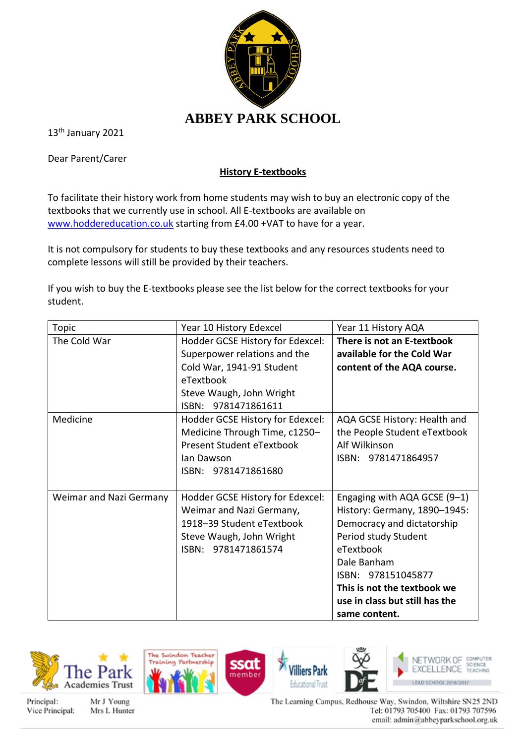

13<sup>th</sup> January 2021

Dear Parent/Carer

## **History E-textbooks**

To facilitate their history work from home students may wish to buy an electronic copy of the textbooks that we currently use in school. All E-textbooks are available on [www.hoddereducation.co.uk](http://www.hoddereducation.co.uk/) starting from £4.00 +VAT to have for a year.

It is not compulsory for students to buy these textbooks and any resources students need to complete lessons will still be provided by their teachers.

If you wish to buy the E-textbooks please see the list below for the correct textbooks for your student.

| Topic                   | Year 10 History Edexcel          | Year 11 History AQA            |
|-------------------------|----------------------------------|--------------------------------|
| The Cold War            | Hodder GCSE History for Edexcel: | There is not an E-textbook     |
|                         | Superpower relations and the     | available for the Cold War     |
|                         | Cold War, 1941-91 Student        | content of the AQA course.     |
|                         | eTextbook                        |                                |
|                         | Steve Waugh, John Wright         |                                |
|                         | ISBN: 9781471861611              |                                |
| Medicine                | Hodder GCSE History for Edexcel: | AQA GCSE History: Health and   |
|                         | Medicine Through Time, c1250-    | the People Student eTextbook   |
|                         | Present Student eTextbook        | Alf Wilkinson                  |
|                         | lan Dawson                       | ISBN: 9781471864957            |
|                         | ISBN: 9781471861680              |                                |
|                         |                                  |                                |
| Weimar and Nazi Germany | Hodder GCSE History for Edexcel: | Engaging with AQA GCSE (9-1)   |
|                         | Weimar and Nazi Germany,         | History: Germany, 1890-1945:   |
|                         | 1918-39 Student eTextbook        | Democracy and dictatorship     |
|                         | Steve Waugh, John Wright         | Period study Student           |
|                         | ISBN: 9781471861574              | eTextbook                      |
|                         |                                  | Dale Banham                    |
|                         |                                  | ISBN: 978151045877             |
|                         |                                  | This is not the textbook we    |
|                         |                                  | use in class but still has the |
|                         |                                  | same content.                  |









Principal: Vice Principal:

Mr J Young Mrs L Hunter The Learning Campus, Redhouse Way, Swindon, Wiltshire SN25 2ND Tel: 01793 705400 Fax: 01793 707596 email: admin@abbeyparkschool.org.uk